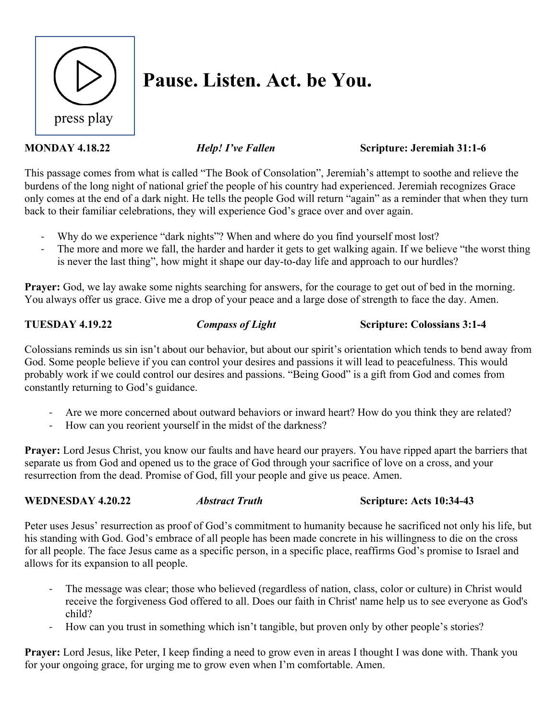

# **Pause. Listen. Act. be You.**

### **MONDAY 4.18.22** *Help! I've Fallen* Scripture: Jeremiah 31:1-6

This passage comes from what is called "The Book of Consolation", Jeremiah's attempt to soothe and relieve the burdens of the long night of national grief the people of his country had experienced. Jeremiah recognizes Grace only comes at the end of a dark night. He tells the people God will return "again" as a reminder that when they turn back to their familiar celebrations, they will experience God's grace over and over again.

- Why do we experience "dark nights"? When and where do you find yourself most lost?
- The more and more we fall, the harder and harder it gets to get walking again. If we believe "the worst thing is never the last thing", how might it shape our day-to-day life and approach to our hurdles?

**Prayer:** God, we lay awake some nights searching for answers, for the courage to get out of bed in the morning. You always offer us grace. Give me a drop of your peace and a large dose of strength to face the day. Amen.

**TUESDAY 4.19.22** *Compass of Light* **Scripture: Colossians 3:1-4**

Colossians reminds us sin isn't about our behavior, but about our spirit's orientation which tends to bend away from God. Some people believe if you can control your desires and passions it will lead to peacefulness. This would probably work if we could control our desires and passions. "Being Good" is a gift from God and comes from constantly returning to God's guidance.

- Are we more concerned about outward behaviors or inward heart? How do you think they are related?
- How can you reorient yourself in the midst of the darkness?

**Prayer:** Lord Jesus Christ, you know our faults and have heard our prayers. You have ripped apart the barriers that separate us from God and opened us to the grace of God through your sacrifice of love on a cross, and your resurrection from the dead. Promise of God, fill your people and give us peace. Amen.

### **WEDNESDAY** 4.20.22 *Abstract Truth* **Scripture: Acts 10:34-43**

Peter uses Jesus' resurrection as proof of God's commitment to humanity because he sacrificed not only his life, but his standing with God. God's embrace of all people has been made concrete in his willingness to die on the cross for all people. The face Jesus came as a specific person, in a specific place, reaffirms God's promise to Israel and allows for its expansion to all people.

- The message was clear; those who believed (regardless of nation, class, color or culture) in Christ would receive the forgiveness God offered to all. Does our faith in Christ' name help us to see everyone as God's child?
- How can you trust in something which isn't tangible, but proven only by other people's stories?

**Prayer:** Lord Jesus, like Peter, I keep finding a need to grow even in areas I thought I was done with. Thank you for your ongoing grace, for urging me to grow even when I'm comfortable. Amen.